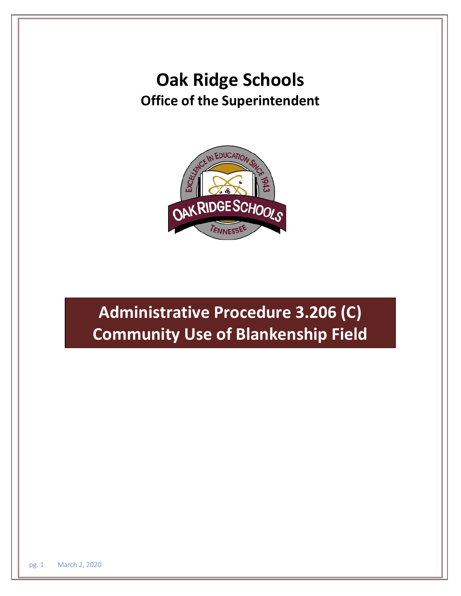# **Oak Ridge Schools Office of the Superintendent**



# **Administrative Procedure 3.206 (C) Community Use of Blankenship Field**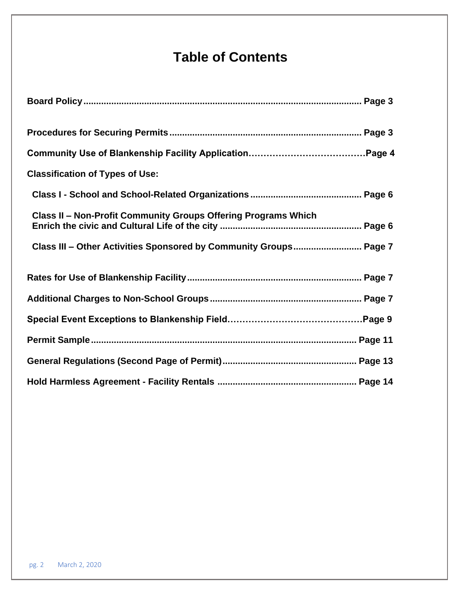# **Table of Contents**

| <b>Classification of Types of Use:</b>                                |
|-----------------------------------------------------------------------|
|                                                                       |
| <b>Class II - Non-Profit Community Groups Offering Programs Which</b> |
| Class III - Other Activities Sponsored by Community Groups Page 7     |
|                                                                       |
|                                                                       |
|                                                                       |
|                                                                       |
|                                                                       |
|                                                                       |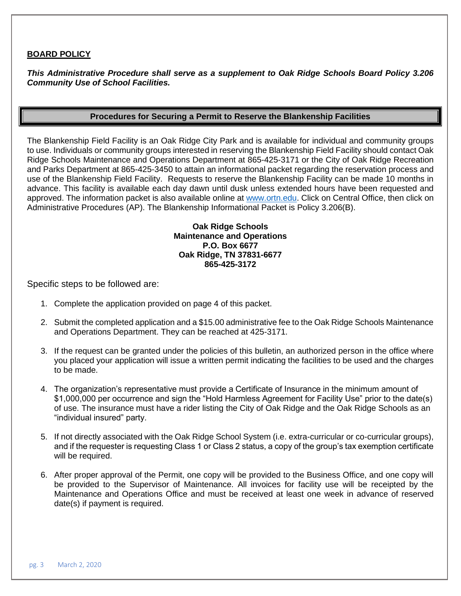### **BOARD POLICY**

*This Administrative Procedure shall serve as a supplement to Oak Ridge Schools Board Policy 3.206 Community Use of School Facilities.*

#### **Procedures for Securing a Permit to Reserve the Blankenship Facilities**

The Blankenship Field Facility is an Oak Ridge City Park and is available for individual and community groups to use. Individuals or community groups interested in reserving the Blankenship Field Facility should contact Oak Ridge Schools Maintenance and Operations Department at 865-425-3171 or the City of Oak Ridge Recreation and Parks Department at 865-425-3450 to attain an informational packet regarding the reservation process and use of the Blankenship Field Facility. Requests to reserve the Blankenship Facility can be made 10 months in advance. This facility is available each day dawn until dusk unless extended hours have been requested and approved. The information packet is also available online at [www.ortn.edu.](http://www.ortn.edu/) Click on Central Office, then click on Administrative Procedures (AP). The Blankenship Informational Packet is Policy 3.206(B).

### **Oak Ridge Schools Maintenance and Operations P.O. Box 6677 Oak Ridge, TN 37831-6677 865-425-3172**

Specific steps to be followed are:

- 1. Complete the application provided on page 4 of this packet.
- 2. Submit the completed application and a \$15.00 administrative fee to the Oak Ridge Schools Maintenance and Operations Department. They can be reached at 425-3171.
- 3. If the request can be granted under the policies of this bulletin, an authorized person in the office where you placed your application will issue a written permit indicating the facilities to be used and the charges to be made.
- 4. The organization's representative must provide a Certificate of Insurance in the minimum amount of \$1,000,000 per occurrence and sign the "Hold Harmless Agreement for Facility Use" prior to the date(s) of use. The insurance must have a rider listing the City of Oak Ridge and the Oak Ridge Schools as an "individual insured" party.
- 5. If not directly associated with the Oak Ridge School System (i.e. extra-curricular or co-curricular groups), and if the requester is requesting Class 1 or Class 2 status, a copy of the group's tax exemption certificate will be required.
- 6. After proper approval of the Permit, one copy will be provided to the Business Office, and one copy will be provided to the Supervisor of Maintenance. All invoices for facility use will be receipted by the Maintenance and Operations Office and must be received at least one week in advance of reserved date(s) if payment is required.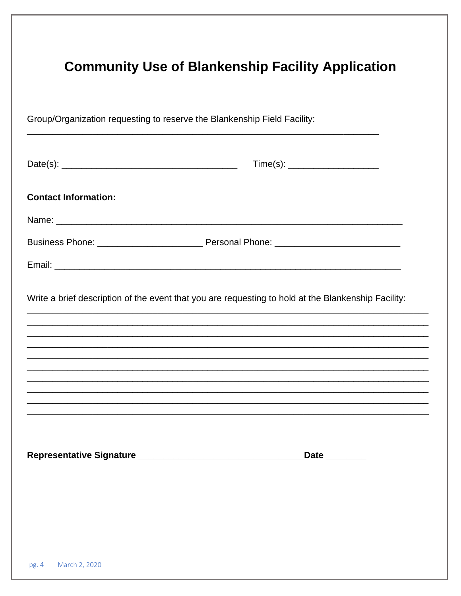|                             | $Time(s): \begin{tabular}{ c c } \hline \quad \quad & \quad \quad & \quad \quad \\ \hline \end{tabular}$ |
|-----------------------------|----------------------------------------------------------------------------------------------------------|
| <b>Contact Information:</b> |                                                                                                          |
|                             |                                                                                                          |
|                             |                                                                                                          |
|                             |                                                                                                          |
|                             |                                                                                                          |
|                             |                                                                                                          |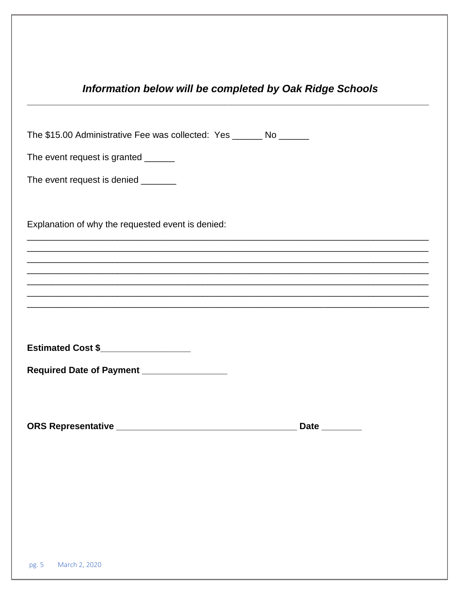## Information below will be completed by Oak Ridge Schools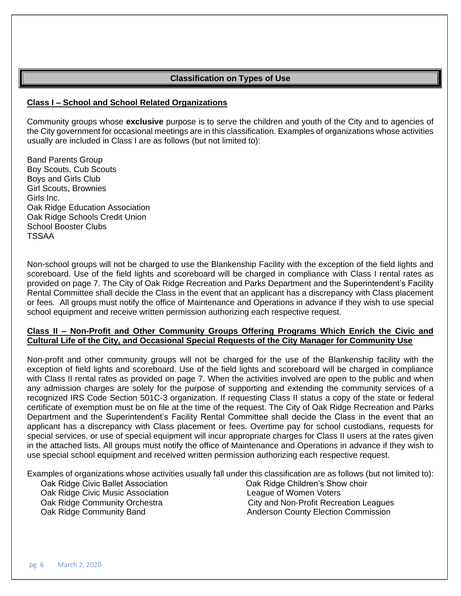### **Classification on Types of Use**

### **Class I – School and School Related Organizations**

Community groups whose **exclusive** purpose is to serve the children and youth of the City and to agencies of the City government for occasional meetings are in this classification. Examples of organizations whose activities usually are included in Class I are as follows (but not limited to):

Band Parents Group Boy Scouts, Cub Scouts Boys and Girls Club Girl Scouts, Brownies Girls Inc. Oak Ridge Education Association Oak Ridge Schools Credit Union School Booster Clubs TSSAA

Non-school groups will not be charged to use the Blankenship Facility with the exception of the field lights and scoreboard. Use of the field lights and scoreboard will be charged in compliance with Class I rental rates as provided on page 7. The City of Oak Ridge Recreation and Parks Department and the Superintendent's Facility Rental Committee shall decide the Class in the event that an applicant has a discrepancy with Class placement or fees. All groups must notify the office of Maintenance and Operations in advance if they wish to use special school equipment and receive written permission authorizing each respective request.

#### **Class II – Non-Profit and Other Community Groups Offering Programs Which Enrich the Civic and Cultural Life of the City, and Occasional Special Requests of the City Manager for Community Use**

Non-profit and other community groups will not be charged for the use of the Blankenship facility with the exception of field lights and scoreboard. Use of the field lights and scoreboard will be charged in compliance with Class II rental rates as provided on page 7. When the activities involved are open to the public and when any admission charges are solely for the purpose of supporting and extending the community services of a recognized IRS Code Section 501C-3 organization. If requesting Class II status a copy of the state or federal certificate of exemption must be on file at the time of the request. The City of Oak Ridge Recreation and Parks Department and the Superintendent's Facility Rental Committee shall decide the Class in the event that an applicant has a discrepancy with Class placement or fees. Overtime pay for school custodians, requests for special services, or use of special equipment will incur appropriate charges for Class II users at the rates given in the attached lists. All groups must notify the office of Maintenance and Operations in advance if they wish to use special school equipment and received written permission authorizing each respective request.

Examples of organizations whose activities usually fall under this classification are as follows (but not limited to):

Oak Ridge Civic Ballet Association Oak Ridge Children's Show choir Oak Ridge Civic Music Association **League of Women Voters** 

Oak Ridge Community Orchestra **City and Non-Profit Recreation Leagues** Oak Ridge Community Band **Anderson County Election Commission**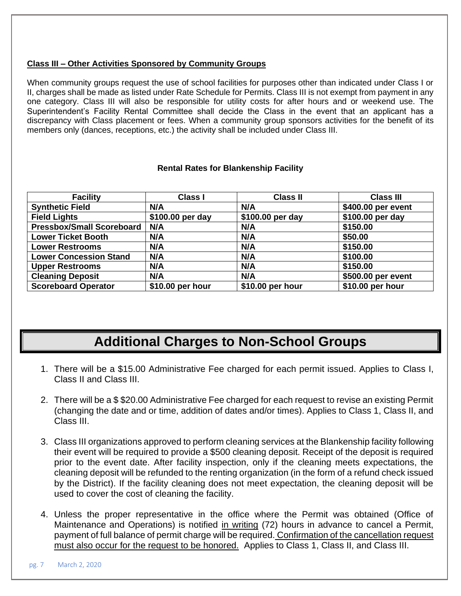### **Class III – Other Activities Sponsored by Community Groups**

When community groups request the use of school facilities for purposes other than indicated under Class I or II, charges shall be made as listed under Rate Schedule for Permits. Class III is not exempt from payment in any one category. Class III will also be responsible for utility costs for after hours and or weekend use. The Superintendent's Facility Rental Committee shall decide the Class in the event that an applicant has a discrepancy with Class placement or fees. When a community group sponsors activities for the benefit of its members only (dances, receptions, etc.) the activity shall be included under Class III.

### **Rental Rates for Blankenship Facility**

| <b>Facility</b>                  | <b>Class I</b>   | <b>Class II</b>  | <b>Class III</b>   |
|----------------------------------|------------------|------------------|--------------------|
| <b>Synthetic Field</b>           | N/A              | N/A              | \$400.00 per event |
| <b>Field Lights</b>              | \$100.00 per day | \$100.00 per day | \$100.00 per day   |
| <b>Pressbox/Small Scoreboard</b> | N/A              | N/A              | \$150.00           |
| <b>Lower Ticket Booth</b>        | N/A              | N/A              | \$50.00            |
| <b>Lower Restrooms</b>           | N/A              | N/A              | \$150.00           |
| <b>Lower Concession Stand</b>    | N/A              | N/A              | \$100.00           |
| <b>Upper Restrooms</b>           | N/A              | N/A              | \$150.00           |
| <b>Cleaning Deposit</b>          | N/A              | N/A              | \$500.00 per event |
| <b>Scoreboard Operator</b>       | \$10.00 per hour | \$10.00 per hour | \$10.00 per hour   |

# **Additional Charges to Non-School Groups**

- 1. There will be a \$15.00 Administrative Fee charged for each permit issued. Applies to Class I, Class II and Class III.
- 2. There will be a \$ \$20.00 Administrative Fee charged for each request to revise an existing Permit (changing the date and or time, addition of dates and/or times). Applies to Class 1, Class II, and Class III.
- 3. Class III organizations approved to perform cleaning services at the Blankenship facility following their event will be required to provide a \$500 cleaning deposit. Receipt of the deposit is required prior to the event date. After facility inspection, only if the cleaning meets expectations, the cleaning deposit will be refunded to the renting organization (in the form of a refund check issued by the District). If the facility cleaning does not meet expectation, the cleaning deposit will be used to cover the cost of cleaning the facility.
- 4. Unless the proper representative in the office where the Permit was obtained (Office of Maintenance and Operations) is notified in writing (72) hours in advance to cancel a Permit, payment of full balance of permit charge will be required. Confirmation of the cancellation request must also occur for the request to be honored. Applies to Class 1, Class II, and Class III.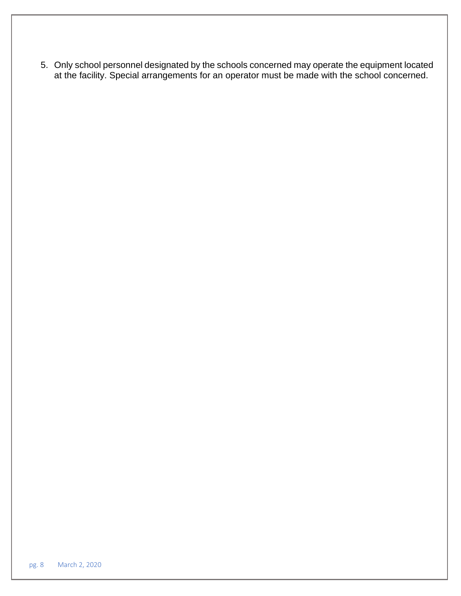5. Only school personnel designated by the schools concerned may operate the equipment located at the facility. Special arrangements for an operator must be made with the school concerned.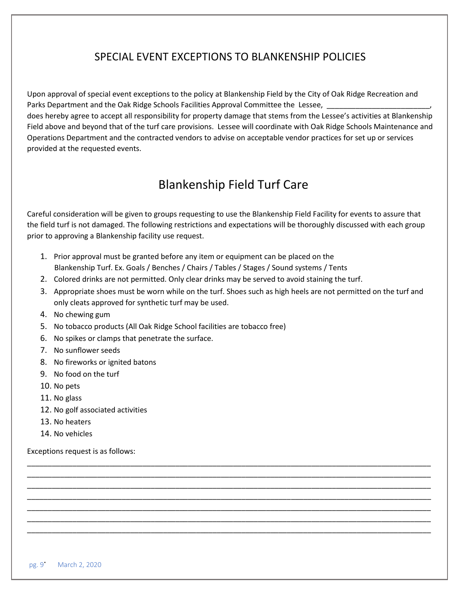### SPECIAL EVENT EXCEPTIONS TO BLANKENSHIP POLICIES

Upon approval of special event exceptions to the policy at Blankenship Field by the City of Oak Ridge Recreation and Parks Department and the Oak Ridge Schools Facilities Approval Committee the Lessee,

does hereby agree to accept all responsibility for property damage that stems from the Lessee's activities at Blankenship Field above and beyond that of the turf care provisions. Lessee will coordinate with Oak Ridge Schools Maintenance and Operations Department and the contracted vendors to advise on acceptable vendor practices for set up or services provided at the requested events.

# Blankenship Field Turf Care

Careful consideration will be given to groups requesting to use the Blankenship Field Facility for events to assure that the field turf is not damaged. The following restrictions and expectations will be thoroughly discussed with each group prior to approving a Blankenship facility use request.

- 1. Prior approval must be granted before any item or equipment can be placed on the Blankenship Turf. Ex. Goals / Benches / Chairs / Tables / Stages / Sound systems / Tents
- 2. Colored drinks are not permitted. Only clear drinks may be served to avoid staining the turf.
- 3. Appropriate shoes must be worn while on the turf. Shoes such as high heels are not permitted on the turf and only cleats approved for synthetic turf may be used.

\_\_\_\_\_\_\_\_\_\_\_\_\_\_\_\_\_\_\_\_\_\_\_\_\_\_\_\_\_\_\_\_\_\_\_\_\_\_\_\_\_\_\_\_\_\_\_\_\_\_\_\_\_\_\_\_\_\_\_\_\_\_\_\_\_\_\_\_\_\_\_\_\_\_\_\_\_\_\_\_\_\_\_\_\_\_\_\_\_\_\_\_\_\_\_\_\_\_ \_\_\_\_\_\_\_\_\_\_\_\_\_\_\_\_\_\_\_\_\_\_\_\_\_\_\_\_\_\_\_\_\_\_\_\_\_\_\_\_\_\_\_\_\_\_\_\_\_\_\_\_\_\_\_\_\_\_\_\_\_\_\_\_\_\_\_\_\_\_\_\_\_\_\_\_\_\_\_\_\_\_\_\_\_\_\_\_\_\_\_\_\_\_\_\_\_\_ \_\_\_\_\_\_\_\_\_\_\_\_\_\_\_\_\_\_\_\_\_\_\_\_\_\_\_\_\_\_\_\_\_\_\_\_\_\_\_\_\_\_\_\_\_\_\_\_\_\_\_\_\_\_\_\_\_\_\_\_\_\_\_\_\_\_\_\_\_\_\_\_\_\_\_\_\_\_\_\_\_\_\_\_\_\_\_\_\_\_\_\_\_\_\_\_\_\_ \_\_\_\_\_\_\_\_\_\_\_\_\_\_\_\_\_\_\_\_\_\_\_\_\_\_\_\_\_\_\_\_\_\_\_\_\_\_\_\_\_\_\_\_\_\_\_\_\_\_\_\_\_\_\_\_\_\_\_\_\_\_\_\_\_\_\_\_\_\_\_\_\_\_\_\_\_\_\_\_\_\_\_\_\_\_\_\_\_\_\_\_\_\_\_\_\_\_ \_\_\_\_\_\_\_\_\_\_\_\_\_\_\_\_\_\_\_\_\_\_\_\_\_\_\_\_\_\_\_\_\_\_\_\_\_\_\_\_\_\_\_\_\_\_\_\_\_\_\_\_\_\_\_\_\_\_\_\_\_\_\_\_\_\_\_\_\_\_\_\_\_\_\_\_\_\_\_\_\_\_\_\_\_\_\_\_\_\_\_\_\_\_\_\_\_\_ \_\_\_\_\_\_\_\_\_\_\_\_\_\_\_\_\_\_\_\_\_\_\_\_\_\_\_\_\_\_\_\_\_\_\_\_\_\_\_\_\_\_\_\_\_\_\_\_\_\_\_\_\_\_\_\_\_\_\_\_\_\_\_\_\_\_\_\_\_\_\_\_\_\_\_\_\_\_\_\_\_\_\_\_\_\_\_\_\_\_\_\_\_\_\_\_\_\_ \_\_\_\_\_\_\_\_\_\_\_\_\_\_\_\_\_\_\_\_\_\_\_\_\_\_\_\_\_\_\_\_\_\_\_\_\_\_\_\_\_\_\_\_\_\_\_\_\_\_\_\_\_\_\_\_\_\_\_\_\_\_\_\_\_\_\_\_\_\_\_\_\_\_\_\_\_\_\_\_\_\_\_\_\_\_\_\_\_\_\_\_\_\_\_\_\_\_

- 4. No chewing gum
- 5. No tobacco products (All Oak Ridge School facilities are tobacco free)
- 6. No spikes or clamps that penetrate the surface.
- 7. No sunflower seeds
- 8. No fireworks or ignited batons
- 9. No food on the turf
- 10. No pets
- 11. No glass
- 12. No golf associated activities
- 13. No heaters
- 14. No vehicles

Exceptions request is as follows: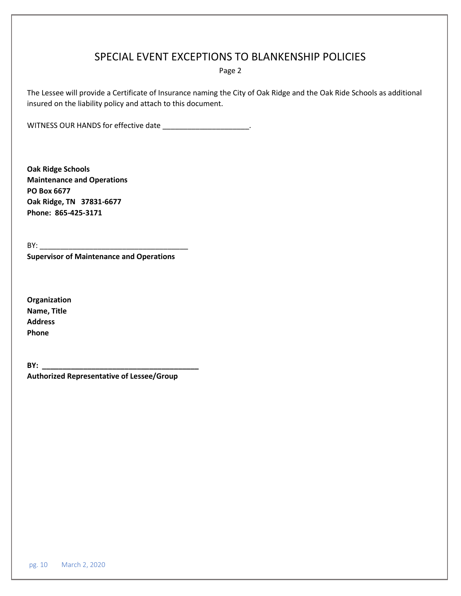### SPECIAL EVENT EXCEPTIONS TO BLANKENSHIP POLICIES

Page 2

The Lessee will provide a Certificate of Insurance naming the City of Oak Ridge and the Oak Ride Schools as additional insured on the liability policy and attach to this document.

WITNESS OUR HANDS for effective date \_\_\_\_\_\_\_\_\_\_\_\_\_\_\_\_\_\_\_\_\_\_.

**Oak Ridge Schools Maintenance and Operations PO Box 6677 Oak Ridge, TN 37831-6677 Phone: 865-425-3171**

BY: \_\_\_\_\_\_\_\_\_\_\_\_\_\_\_\_\_\_\_\_\_\_\_\_\_\_\_\_\_\_\_\_\_\_\_\_ **Supervisor of Maintenance and Operations** 

**Organization Name, Title Address Phone**

**BY: \_\_\_\_\_\_\_\_\_\_\_\_\_\_\_\_\_\_\_\_\_\_\_\_\_\_\_\_\_\_\_\_\_\_\_\_\_\_**

**Authorized Representative of Lessee/Group**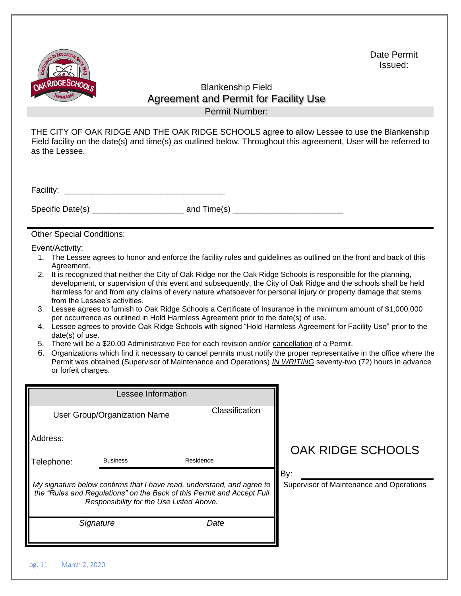

Date Permit Issued:

### Blankenship Field Agreement and Permit for Facility Use Permit Number:

THE CITY OF OAK RIDGE AND THE OAK RIDGE SCHOOLS agree to allow Lessee to use the Blankenship Field facility on the date(s) and time(s) as outlined below. Throughout this agreement, User will be referred to as the Lessee.

| Facility: |  |
|-----------|--|
|-----------|--|

Specific Date(s) \_\_\_\_\_\_\_\_\_\_\_\_\_\_\_\_\_\_\_\_ and Time(s) \_\_\_\_\_\_\_\_\_\_\_\_\_\_\_\_\_\_\_\_\_\_\_\_

Other Special Conditions:

#### Event/Activity:

- 1. The Lessee agrees to honor and enforce the facility rules and guidelines as outlined on the front and back of this Agreement.
- 2. It is recognized that neither the City of Oak Ridge nor the Oak Ridge Schools is responsible for the planning, development, or supervision of this event and subsequently, the City of Oak Ridge and the schools shall be held harmless for and from any claims of every nature whatsoever for personal injury or property damage that stems from the Lessee's activities.
- 3. Lessee agrees to furnish to Oak Ridge Schools a Certificate of Insurance in the minimum amount of \$1,000,000 per occurrence as outlined in Hold Harmless Agreement prior to the date(s) of use.
- 4. Lessee agrees to provide Oak Ridge Schools with signed "Hold Harmless Agreement for Facility Use" prior to the date(s) of use.
- 5. There will be a \$20.00 Administrative Fee for each revision and/or cancellation of a Permit.
- 6. Organizations which find it necessary to cancel permits must notify the proper representative in the office where the Permit was obtained (Supervisor of Maintenance and Operations) *IN WRITING* seventy-two (72) hours in advance or forfeit charges.

| Lessee Information                                                                                                                                                                           |                              |                |                                                 |                   |
|----------------------------------------------------------------------------------------------------------------------------------------------------------------------------------------------|------------------------------|----------------|-------------------------------------------------|-------------------|
|                                                                                                                                                                                              | User Group/Organization Name | Classification |                                                 |                   |
| Address:                                                                                                                                                                                     |                              |                |                                                 | OAK RIDGE SCHOOLS |
| Telephone:                                                                                                                                                                                   | <b>Business</b>              | Residence      |                                                 |                   |
| My signature below confirms that I have read, understand, and agree to<br>the "Rules and Regulations" on the Back of this Permit and Accept Full<br>Responsibility for the Use Listed Above. |                              |                | By:<br>Supervisor of Maintenance and Operations |                   |
|                                                                                                                                                                                              | Signature                    | Date           |                                                 |                   |
|                                                                                                                                                                                              |                              |                |                                                 |                   |
| March 2, 2020<br>pg. 11                                                                                                                                                                      |                              |                |                                                 |                   |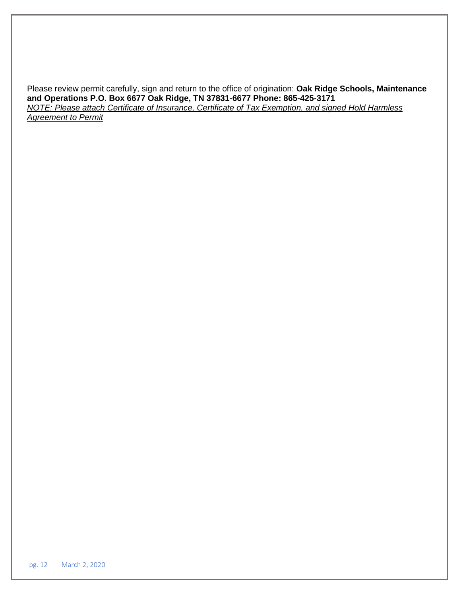Please review permit carefully, sign and return to the office of origination: **Oak Ridge Schools, Maintenance and Operations P.O. Box 6677 Oak Ridge, TN 37831-6677 Phone: 865-425-3171** *NOTE: Please attach Certificate of Insurance, Certificate of Tax Exemption, and signed Hold Harmless Agreement to Permit*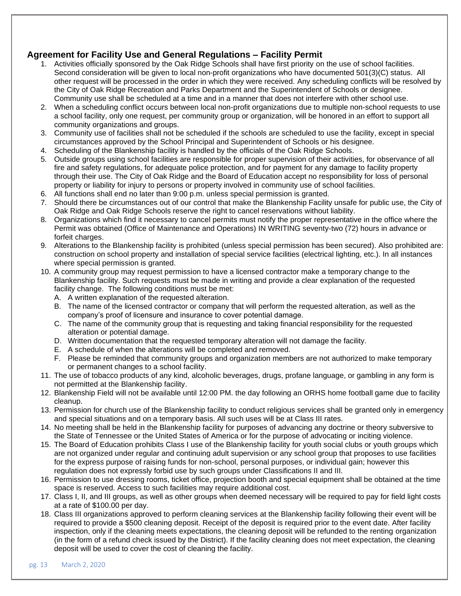### **Agreement for Facility Use and General Regulations – Facility Permit**

- 1. Activities officially sponsored by the Oak Ridge Schools shall have first priority on the use of school facilities. Second consideration will be given to local non-profit organizations who have documented 501(3)(C) status. All other request will be processed in the order in which they were received. Any scheduling conflicts will be resolved by the City of Oak Ridge Recreation and Parks Department and the Superintendent of Schools or designee. Community use shall be scheduled at a time and in a manner that does not interfere with other school use.
- 2. When a scheduling conflict occurs between local non-profit organizations due to multiple non-school requests to use a school facility, only one request, per community group or organization, will be honored in an effort to support all community organizations and groups.
- 3. Community use of facilities shall not be scheduled if the schools are scheduled to use the facility, except in special circumstances approved by the School Principal and Superintendent of Schools or his designee.
- 4. Scheduling of the Blankenship facility is handled by the officials of the Oak Ridge Schools.
- 5. Outside groups using school facilities are responsible for proper supervision of their activities, for observance of all fire and safety regulations, for adequate police protection, and for payment for any damage to facility property through their use. The City of Oak Ridge and the Board of Education accept no responsibility for loss of personal property or liability for injury to persons or property involved in community use of school facilities.
- 6. All functions shall end no later than 9:00 p.m. unless special permission is granted.
- 7. Should there be circumstances out of our control that make the Blankenship Facility unsafe for public use, the City of Oak Ridge and Oak Ridge Schools reserve the right to cancel reservations without liability.
- 8. Organizations which find it necessary to cancel permits must notify the proper representative in the office where the Permit was obtained (Office of Maintenance and Operations) IN WRITING seventy-two (72) hours in advance or forfeit charges.
- 9. Alterations to the Blankenship facility is prohibited (unless special permission has been secured). Also prohibited are: construction on school property and installation of special service facilities (electrical lighting, etc.). In all instances where special permission is granted.
- 10. A community group may request permission to have a licensed contractor make a temporary change to the Blankenship facility. Such requests must be made in writing and provide a clear explanation of the requested facility change. The following conditions must be met:
	- A. A written explanation of the requested alteration.
	- B. The name of the licensed contractor or company that will perform the requested alteration, as well as the company's proof of licensure and insurance to cover potential damage.
	- C. The name of the community group that is requesting and taking financial responsibility for the requested alteration or potential damage.
	- D. Written documentation that the requested temporary alteration will not damage the facility.
	- E. A schedule of when the alterations will be completed and removed.
	- F. Please be reminded that community groups and organization members are not authorized to make temporary or permanent changes to a school facility.
- 11. The use of tobacco products of any kind, alcoholic beverages, drugs, profane language, or gambling in any form is not permitted at the Blankenship facility.
- 12. Blankenship Field will not be available until 12:00 PM. the day following an ORHS home football game due to facility cleanup.
- 13. Permission for church use of the Blankenship facility to conduct religious services shall be granted only in emergency and special situations and on a temporary basis. All such uses will be at Class III rates.
- 14. No meeting shall be held in the Blankenship facility for purposes of advancing any doctrine or theory subversive to the State of Tennessee or the United States of America or for the purpose of advocating or inciting violence.
- 15. The Board of Education prohibits Class I use of the Blankenship facility for youth social clubs or youth groups which are not organized under regular and continuing adult supervision or any school group that proposes to use facilities for the express purpose of raising funds for non-school, personal purposes, or individual gain; however this regulation does not expressly forbid use by such groups under Classifications II and III.
- 16. Permission to use dressing rooms, ticket office, projection booth and special equipment shall be obtained at the time space is reserved. Access to such facilities may require additional cost.
- 17. Class I, II, and III groups, as well as other groups when deemed necessary will be required to pay for field light costs at a rate of \$100.00 per day.
- 18. Class III organizations approved to perform cleaning services at the Blankenship facility following their event will be required to provide a \$500 cleaning deposit. Receipt of the deposit is required prior to the event date. After facility inspection, only if the cleaning meets expectations, the cleaning deposit will be refunded to the renting organization (in the form of a refund check issued by the District). If the facility cleaning does not meet expectation, the cleaning deposit will be used to cover the cost of cleaning the facility.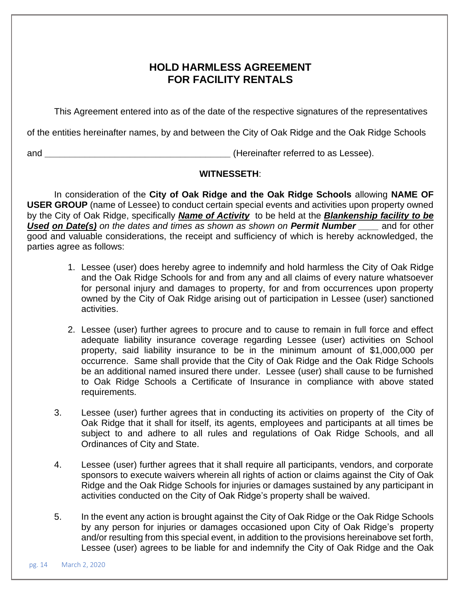### **HOLD HARMLESS AGREEMENT FOR FACILITY RENTALS**

This Agreement entered into as of the date of the respective signatures of the representatives

of the entities hereinafter names, by and between the City of Oak Ridge and the Oak Ridge Schools

and **\_\_\_\_\_\_\_\_\_\_\_\_\_\_\_\_\_\_\_\_\_\_\_\_\_\_\_\_\_\_\_\_\_\_\_\_\_** (Hereinafter referred to as Lessee).

### **WITNESSETH**:

In consideration of the **City of Oak Ridge and the Oak Ridge Schools** allowing **NAME OF USER GROUP** (name of Lessee) to conduct certain special events and activities upon property owned by the City of Oak Ridge, specifically *Name of Activity* to be held at the *Blankenship facility to be Used on Date(s) on the dates and times as shown as shown on Permit Number \_\_\_\_* and for other good and valuable considerations, the receipt and sufficiency of which is hereby acknowledged, the parties agree as follows:

- 1. Lessee (user) does hereby agree to indemnify and hold harmless the City of Oak Ridge and the Oak Ridge Schools for and from any and all claims of every nature whatsoever for personal injury and damages to property, for and from occurrences upon property owned by the City of Oak Ridge arising out of participation in Lessee (user) sanctioned activities.
- 2. Lessee (user) further agrees to procure and to cause to remain in full force and effect adequate liability insurance coverage regarding Lessee (user) activities on School property, said liability insurance to be in the minimum amount of \$1,000,000 per occurrence. Same shall provide that the City of Oak Ridge and the Oak Ridge Schools be an additional named insured there under. Lessee (user) shall cause to be furnished to Oak Ridge Schools a Certificate of Insurance in compliance with above stated requirements.
- 3. Lessee (user) further agrees that in conducting its activities on property of the City of Oak Ridge that it shall for itself, its agents, employees and participants at all times be subject to and adhere to all rules and regulations of Oak Ridge Schools, and all Ordinances of City and State.
- 4. Lessee (user) further agrees that it shall require all participants, vendors, and corporate sponsors to execute waivers wherein all rights of action or claims against the City of Oak Ridge and the Oak Ridge Schools for injuries or damages sustained by any participant in activities conducted on the City of Oak Ridge's property shall be waived.
- 5. In the event any action is brought against the City of Oak Ridge or the Oak Ridge Schools by any person for injuries or damages occasioned upon City of Oak Ridge's property and/or resulting from this special event, in addition to the provisions hereinabove set forth, Lessee (user) agrees to be liable for and indemnify the City of Oak Ridge and the Oak